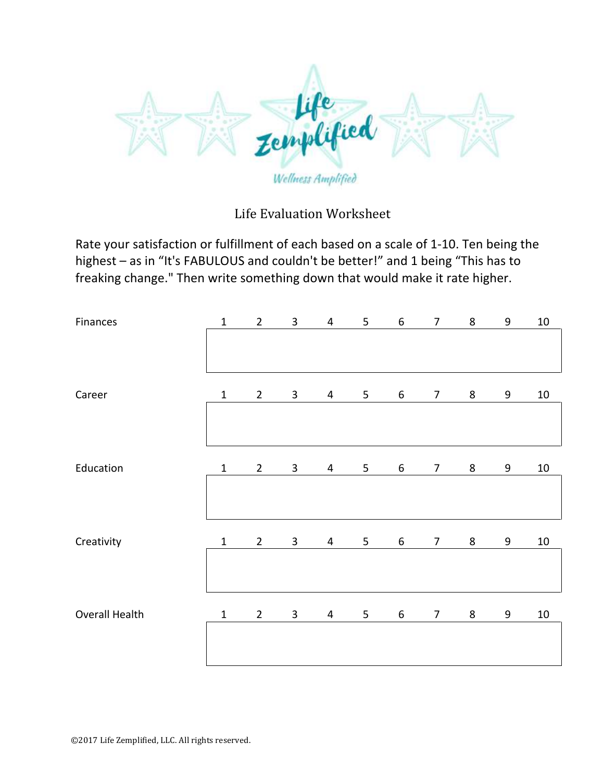

## Life Evaluation Worksheet

Rate your satisfaction or fulfillment of each based on a scale of 1-10. Ten being the highest – as in "It's FABULOUS and couldn't be better!" and 1 being "This has to freaking change." Then write something down that would make it rate higher.

| Finances       | $\mathbf 1$  | $\overline{2}$ | $\mathbf{3}$   | $\overline{4}$ | 5              | $\boldsymbol{6}$ | $\overline{7}$ | $\bf 8$ | 9     | $10\,$ |
|----------------|--------------|----------------|----------------|----------------|----------------|------------------|----------------|---------|-------|--------|
|                |              |                |                |                |                |                  |                |         |       |        |
| Career         | $1\,$        | $\overline{2}$ | $\overline{3}$ | 4              | 5              | $6\phantom{.}$   | $\overline{7}$ | $\,8\,$ | $9\,$ | $10\,$ |
|                |              |                |                |                |                |                  |                |         |       |        |
| Education      | $\mathbf{1}$ | $\overline{2}$ | $\mathbf{3}$   | $\overline{4}$ | 5 <sub>1</sub> | 6                | $\overline{7}$ | $\bf 8$ | 9     | $10\,$ |
|                |              |                |                |                |                |                  |                |         |       |        |
| Creativity     | $\mathbf{1}$ | $\overline{2}$ | $\mathbf{3}$   | 4              | 5              | $6\,$            | $\overline{7}$ | 8       | 9     | $10\,$ |
|                |              |                |                |                |                |                  |                |         |       |        |
| Overall Health | $\mathbf{1}$ | $\overline{2}$ | $\overline{3}$ | 4              | 5              | $\boldsymbol{6}$ | $\overline{7}$ | $\,8\,$ | 9     | $10\,$ |
|                |              |                |                |                |                |                  |                |         |       |        |
|                |              |                |                |                |                |                  |                |         |       |        |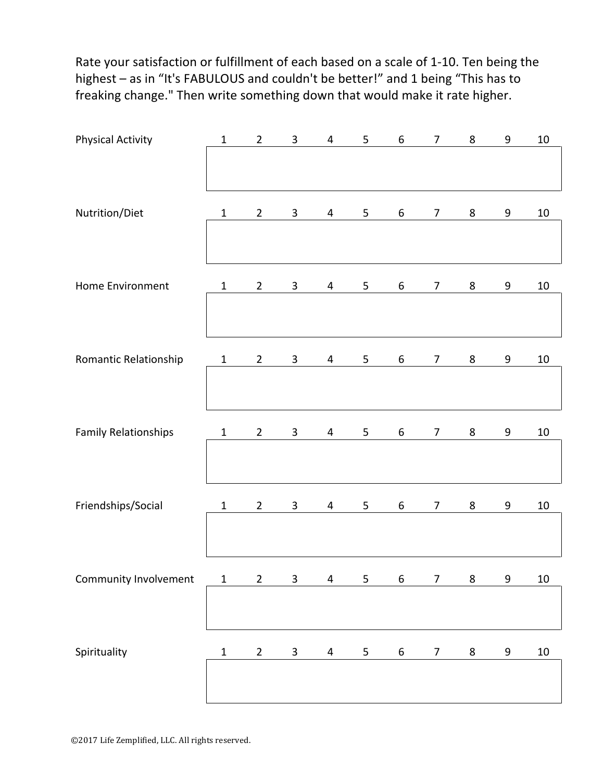Rate your satisfaction or fulfillment of each based on a scale of 1-10. Ten being the highest - as in "It's FABULOUS and couldn't be better!" and 1 being "This has to freaking change." Then write something down that would make it rate higher.

| <b>Physical Activity</b>    | $\mathbf{1}$ | $\overline{2}$ | $\overline{3}$ | $\overline{4}$          | 5 | $\boldsymbol{6}$ | $\overline{7}$ | 8       | $\boldsymbol{9}$ | $10\,$ |
|-----------------------------|--------------|----------------|----------------|-------------------------|---|------------------|----------------|---------|------------------|--------|
|                             |              |                |                |                         |   |                  |                |         |                  |        |
| Nutrition/Diet              | $\mathbf{1}$ | $\overline{2}$ | $\overline{3}$ | 4                       | 5 | 6                | $\overline{7}$ | 8       | 9                | $10\,$ |
|                             |              |                |                |                         |   |                  |                |         |                  |        |
| Home Environment            | $\mathbf{1}$ | $\overline{2}$ | $\mathbf{3}$   | $\overline{4}$          | 5 | 6                | $\overline{7}$ | 8       | 9                | $10\,$ |
|                             |              |                |                |                         |   |                  |                |         |                  |        |
| Romantic Relationship       | $\mathbf{1}$ | $\overline{2}$ | $\mathbf{3}$   | $\overline{4}$          | 5 | 6                | $\overline{7}$ | 8       | $\boldsymbol{9}$ | $10\,$ |
|                             |              |                |                |                         |   |                  |                |         |                  |        |
| <b>Family Relationships</b> | $\mathbf{1}$ | $\overline{2}$ | $\overline{3}$ | 4                       | 5 | 6                | $\overline{7}$ | 8       | 9                | 10     |
|                             |              |                |                |                         |   |                  |                |         |                  |        |
| Friendships/Social          | $\mathbf{1}$ | $\overline{2}$ | $\mathbf{3}$   | 4                       | 5 | 6                | $\overline{7}$ | 8       | 9                | $10\,$ |
|                             |              |                |                |                         |   |                  |                |         |                  |        |
| Community Involvement       | $\mathbf 1$  | $\mathbf 2$    | $\mathbf{3}$   | $\overline{\mathbf{4}}$ | 5 | $\boldsymbol{6}$ | $\overline{7}$ | $\bf 8$ | 9                | $10\,$ |
|                             |              |                |                |                         |   |                  |                |         |                  |        |
| Spirituality                | $\mathbf 1$  | $\overline{c}$ | $\mathbf{3}$   | $\overline{4}$          | 5 | $\boldsymbol{6}$ | $\overline{7}$ | 8       | 9                | $10\,$ |
|                             |              |                |                |                         |   |                  |                |         |                  |        |
|                             |              |                |                |                         |   |                  |                |         |                  |        |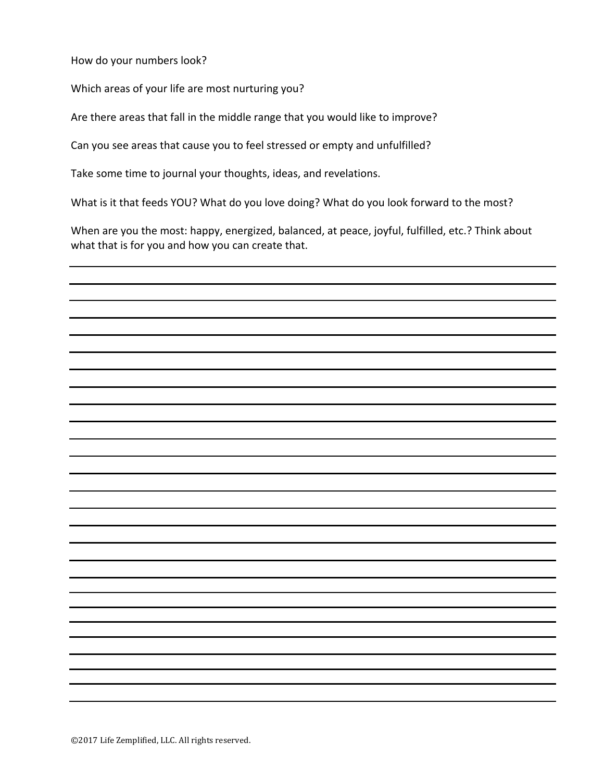How do your numbers look?

Which areas of your life are most nurturing you?

Are there areas that fall in the middle range that you would like to improve?

Can you see areas that cause you to feel stressed or empty and unfulfilled?

Take some time to journal your thoughts, ideas, and revelations.

What is it that feeds YOU? What do you love doing? What do you look forward to the most?

When are you the most: happy, energized, balanced, at peace, joyful, fulfilled, etc.? Think about what that is for you and how you can create that.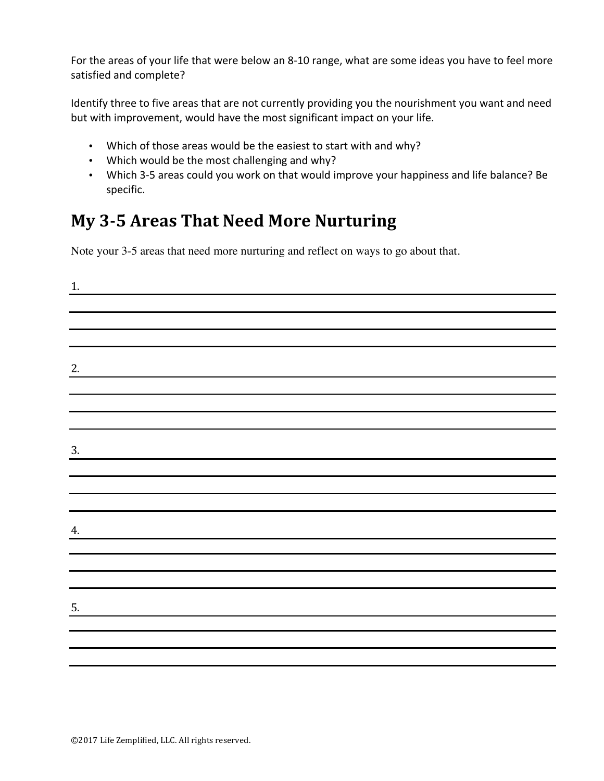For the areas of your life that were below an 8-10 range, what are some ideas you have to feel more satisfied and complete?

Identify three to five areas that are not currently providing you the nourishment you want and need but with improvement, would have the most significant impact on your life.

- Which of those areas would be the easiest to start with and why?
- Which would be the most challenging and why?
- Which 3-5 areas could you work on that would improve your happiness and life balance? Be specific.

## **My 3-5 Areas That Need More Nurturing**

Note your 3-5 areas that need more nurturing and reflect on ways to go about that.

| 1. |  |  |
|----|--|--|
|    |  |  |
|    |  |  |
|    |  |  |
| 2. |  |  |
|    |  |  |
|    |  |  |
|    |  |  |
| 3. |  |  |
|    |  |  |
|    |  |  |
|    |  |  |
| 4. |  |  |
|    |  |  |
|    |  |  |
|    |  |  |
| 5. |  |  |
|    |  |  |
|    |  |  |
|    |  |  |
|    |  |  |